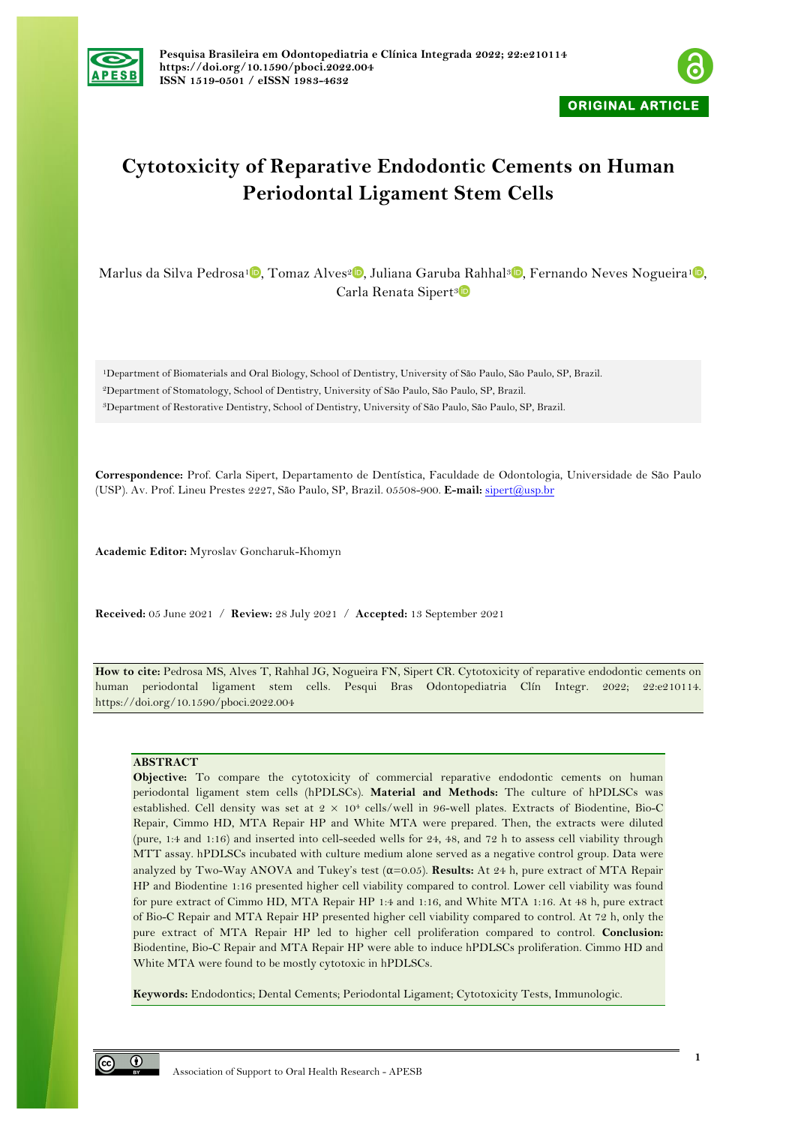



# **Cytotoxicity of Reparative Endodontic Cements on Human Periodontal Ligament Stem Cells**

Marlus da Silva Pedrosa<sup>[1](https://orcid.org/0000-0002-6595-9154)</sup> , Tomaz Alves<sup>2</sup> , Juliana Garuba Rahhal<sup>3</sup> , Fernando Neves Nogueira<sup>1</sup> , Carla Renata Sipert<sup>3</sup>

1Department of Biomaterials and Oral Biology, School of Dentistry, University of São Paulo, São Paulo, SP, Brazil. 2Department of Stomatology, School of Dentistry, University of São Paulo, São Paulo, SP, Brazil.

3Department of Restorative Dentistry, School of Dentistry, University of São Paulo, São Paulo, SP, Brazil.

**Correspondence:** Prof. Carla Sipert, Departamento de Dentística, Faculdade de Odontologia, Universidade de São Paulo (USP). Av. Prof. Lineu Prestes 2227, São Paulo, SP, Brazil. 05508-900. **E-mail:** sipert@usp.br

**Academic Editor:** Myroslav Goncharuk-Khomyn

**Received:** 05 June 2021 / **Review:** 28 July 2021 / **Accepted:** 13 September 2021

**How to cite:** Pedrosa MS, Alves T, Rahhal JG, Nogueira FN, Sipert CR. Cytotoxicity of reparative endodontic cements on human periodontal ligament stem cells. Pesqui Bras Odontopediatria Clín Integr. 2022; 22:e210114. https://doi.org/10.1590/pboci.2022.004

# **ABSTRACT**

**Objective:** To compare the cytotoxicity of commercial reparative endodontic cements on human periodontal ligament stem cells (hPDLSCs). **Material and Methods:** The culture of hPDLSCs was established. Cell density was set at  $2 \times 10^4$  cells/well in 96-well plates. Extracts of Biodentine, Bio-C Repair, Cimmo HD, MTA Repair HP and White MTA were prepared. Then, the extracts were diluted (pure, 1:4 and 1:16) and inserted into cell-seeded wells for 24, 48, and 72 h to assess cell viability through MTT assay. hPDLSCs incubated with culture medium alone served as a negative control group. Data were analyzed by Two-Way ANOVA and Tukey's test (α=0.05). **Results:** At 24 h, pure extract of MTA Repair HP and Biodentine 1:16 presented higher cell viability compared to control. Lower cell viability was found for pure extract of Cimmo HD, MTA Repair HP 1:4 and 1:16, and White MTA 1:16. At 48 h, pure extract of Bio-C Repair and MTA Repair HP presented higher cell viability compared to control. At 72 h, only the pure extract of MTA Repair HP led to higher cell proliferation compared to control. **Conclusion:** Biodentine, Bio-C Repair and MTA Repair HP were able to induce hPDLSCs proliferation. Cimmo HD and White MTA were found to be mostly cytotoxic in hPDLSCs.

**Keywords:** Endodontics; Dental Cements; Periodontal Ligament; Cytotoxicity Tests, Immunologic.

 $\odot$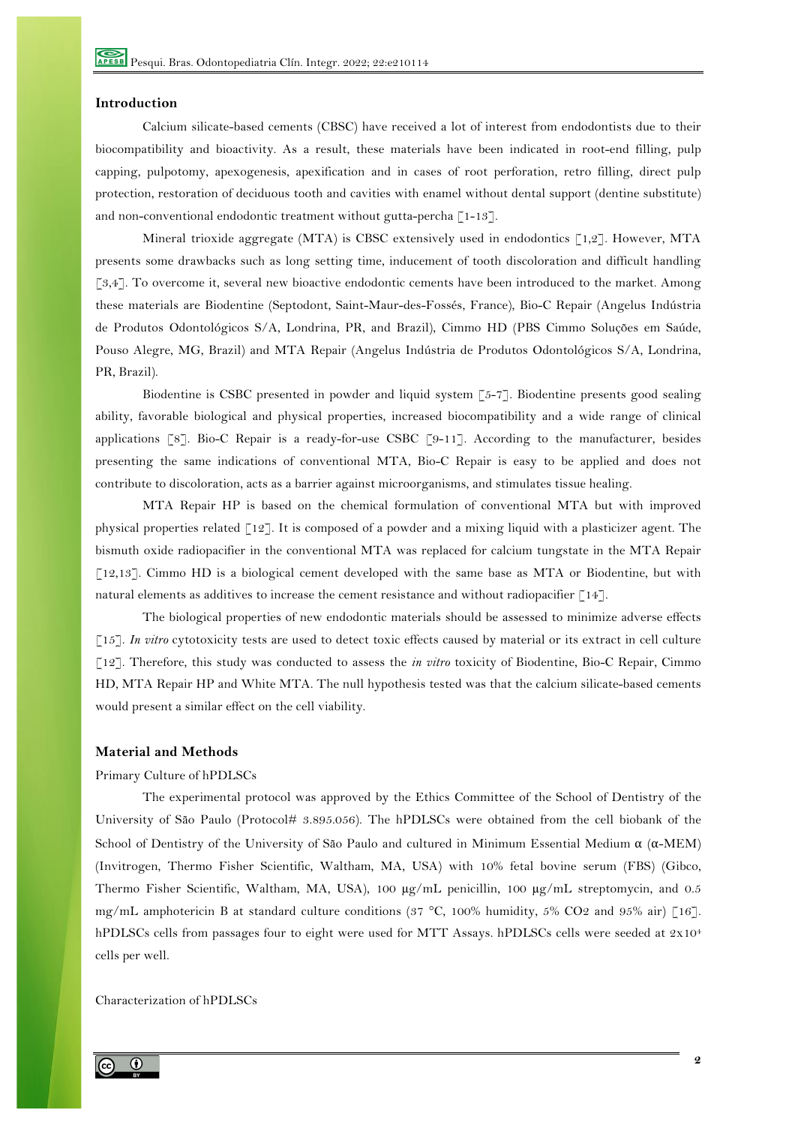## **Introduction**

Calcium silicate-based cements (CBSC) have received a lot of interest from endodontists due to their biocompatibility and bioactivity. As a result, these materials have been indicated in root-end filling, pulp capping, pulpotomy, apexogenesis, apexification and in cases of root perforation, retro filling, direct pulp protection, restoration of deciduous tooth and cavities with enamel without dental support (dentine substitute) and non-conventional endodontic treatment without gutta-percha [1-13].

Mineral trioxide aggregate (MTA) is CBSC extensively used in endodontics  $\lceil 1, 2 \rceil$ . However, MTA presents some drawbacks such as long setting time, inducement of tooth discoloration and difficult handling [3,4]. To overcome it, several new bioactive endodontic cements have been introduced to the market. Among these materials are Biodentine (Septodont, Saint-Maur-des-Fossés, France), Bio-C Repair (Angelus Indústria de Produtos Odontológicos S/A, Londrina, PR, and Brazil), Cimmo HD (PBS Cimmo Soluções em Saúde, Pouso Alegre, MG, Brazil) and MTA Repair (Angelus Indústria de Produtos Odontológicos S/A, Londrina, PR, Brazil).

Biodentine is CSBC presented in powder and liquid system [5-7]. Biodentine presents good sealing ability, favorable biological and physical properties, increased biocompatibility and a wide range of clinical applications [8]. Bio-C Repair is a ready-for-use CSBC [9-11]. According to the manufacturer, besides presenting the same indications of conventional MTA, Bio-C Repair is easy to be applied and does not contribute to discoloration, acts as a barrier against microorganisms, and stimulates tissue healing.

MTA Repair HP is based on the chemical formulation of conventional MTA but with improved physical properties related [12]. It is composed of a powder and a mixing liquid with a plasticizer agent. The bismuth oxide radiopacifier in the conventional MTA was replaced for calcium tungstate in the MTA Repair [12,13]. Cimmo HD is a biological cement developed with the same base as MTA or Biodentine, but with natural elements as additives to increase the cement resistance and without radiopacifier  $\lceil 14 \rceil$ .

The biological properties of new endodontic materials should be assessed to minimize adverse effects [15]. *In vitro* cytotoxicity tests are used to detect toxic effects caused by material or its extract in cell culture [12]. Therefore, this study was conducted to assess the *in vitro* toxicity of Biodentine, Bio-C Repair, Cimmo HD, MTA Repair HP and White MTA. The null hypothesis tested was that the calcium silicate-based cements would present a similar effect on the cell viability.

# **Material and Methods**

#### Primary Culture of hPDLSCs

The experimental protocol was approved by the Ethics Committee of the School of Dentistry of the University of São Paulo (Protocol# 3.895.056). The hPDLSCs were obtained from the cell biobank of the School of Dentistry of the University of São Paulo and cultured in Minimum Essential Medium  $\alpha$  ( $\alpha$ -MEM) (Invitrogen, Thermo Fisher Scientific, Waltham, MA, USA) with 10% fetal bovine serum (FBS) (Gibco, Thermo Fisher Scientific, Waltham, MA, USA), 100  $\mu$ g/mL penicillin, 100  $\mu$ g/mL streptomycin, and 0.5 mg/mL amphotericin B at standard culture conditions (37 °C, 100% humidity, 5% CO2 and 95% air) [16]. hPDLSCs cells from passages four to eight were used for MTT Assays. hPDLSCs cells were seeded at 2x104 cells per well.

## Characterization of hPDLSCs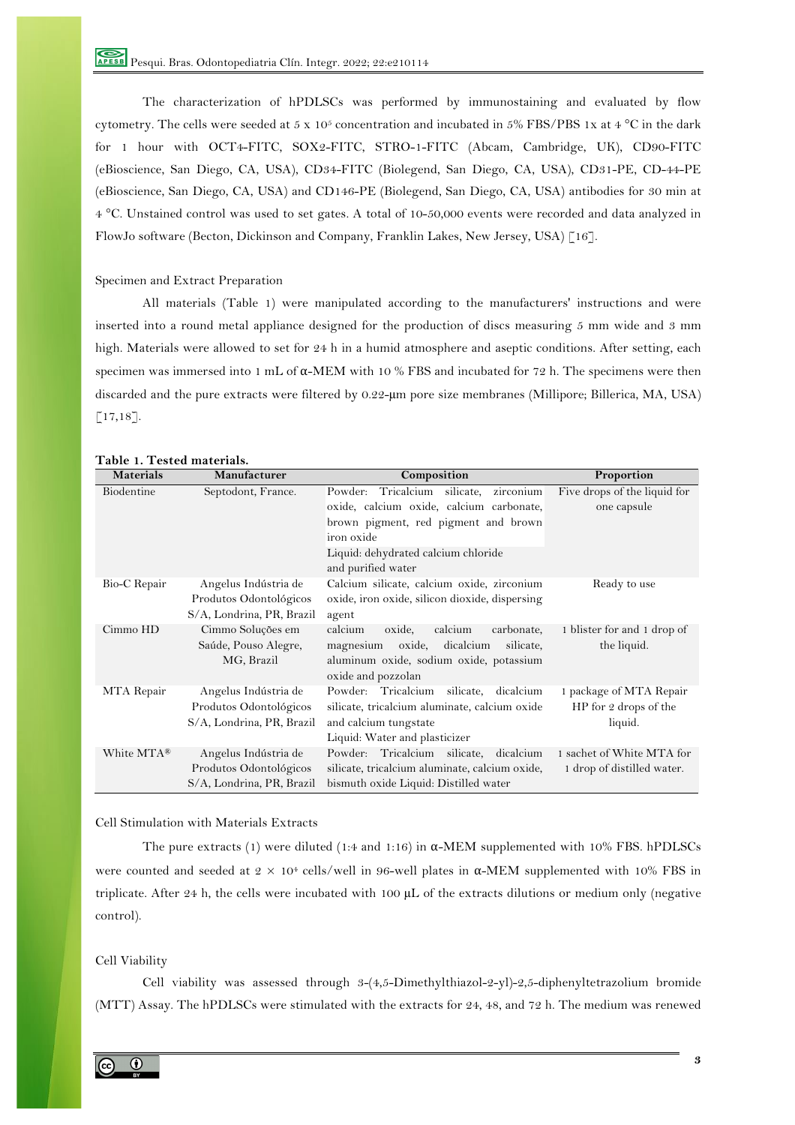The characterization of hPDLSCs was performed by immunostaining and evaluated by flow cytometry. The cells were seeded at 5 x 105 concentration and incubated in 5% FBS/PBS 1x at 4 °C in the dark for 1 hour with OCT4-FITC, SOX2-FITC, STRO-1-FITC (Abcam, Cambridge, UK), CD90-FITC (eBioscience, San Diego, CA, USA), CD34-FITC (Biolegend, San Diego, CA, USA), CD31-PE, CD-44-PE (eBioscience, San Diego, CA, USA) and CD146-PE (Biolegend, San Diego, CA, USA) antibodies for 30 min at 4 °C. Unstained control was used to set gates. A total of 10-50,000 events were recorded and data analyzed in FlowJo software (Becton, Dickinson and Company, Franklin Lakes, New Jersey, USA) [16].

#### Specimen and Extract Preparation

All materials (Table 1) were manipulated according to the manufacturers' instructions and were inserted into a round metal appliance designed for the production of discs measuring 5 mm wide and 3 mm high. Materials were allowed to set for 24 h in a humid atmosphere and aseptic conditions. After setting, each specimen was immersed into 1 mL of α-MEM with 10 % FBS and incubated for 72 h. The specimens were then discarded and the pure extracts were filtered by 0.22-µm pore size membranes (Millipore; Billerica, MA, USA) [17,18].

| Materials    | Manufacturer                                                                | Composition                                                                                                                                               | Proportion                                                  |
|--------------|-----------------------------------------------------------------------------|-----------------------------------------------------------------------------------------------------------------------------------------------------------|-------------------------------------------------------------|
| Biodentine   | Septodont, France.                                                          | zirconium<br>Tricalcium silicate,<br>Powder:<br>oxide, calcium oxide, calcium carbonate,                                                                  | Five drops of the liquid for<br>one capsule                 |
|              |                                                                             | brown pigment, red pigment and brown<br>iron oxide                                                                                                        |                                                             |
|              |                                                                             | Liquid: dehydrated calcium chloride<br>and purified water                                                                                                 |                                                             |
| Bio-C Repair | Angelus Indústria de<br>Produtos Odontológicos<br>S/A, Londrina, PR, Brazil | Calcium silicate, calcium oxide, zirconium<br>oxide, iron oxide, silicon dioxide, dispersing<br>agent                                                     | Ready to use                                                |
| Cimmo HD     | Cimmo Soluções em<br>Saúde, Pouso Alegre,<br>MG, Brazil                     | calcium<br>oxide,<br>calcium<br>carbonate,<br>oxide, dicalcium<br>magnesium<br>silicate,<br>aluminum oxide, sodium oxide, potassium<br>oxide and pozzolan | 1 blister for and 1 drop of<br>the liquid.                  |
| MTA Repair   | Angelus Indústria de<br>Produtos Odontológicos<br>S/A, Londrina, PR, Brazil | Powder: Tricalcium<br>silicate,<br>dicalcium<br>silicate, tricalcium aluminate, calcium oxide<br>and calcium tungstate<br>Liquid: Water and plasticizer   | 1 package of MTA Repair<br>HP for 2 drops of the<br>liquid. |
| White MTA®   | Angelus Indústria de<br>Produtos Odontológicos<br>S/A, Londrina, PR, Brazil | Powder: Tricalcium silicate,<br>dicalcium<br>silicate, tricalcium aluminate, calcium oxide,<br>bismuth oxide Liquid: Distilled water                      | 1 sachet of White MTA for<br>1 drop of distilled water.     |

# **Table 1. Tested materials.**

#### Cell Stimulation with Materials Extracts

The pure extracts (1) were diluted (1:4 and 1:16) in  $\alpha$ -MEM supplemented with 10% FBS. hPDLSCs were counted and seeded at  $2 \times 10^4$  cells/well in 96-well plates in  $\alpha$ -MEM supplemented with 10% FBS in triplicate. After 24 h, the cells were incubated with 100 µL of the extracts dilutions or medium only (negative control).

# Cell Viability

Cell viability was assessed through 3-(4,5-Dimethylthiazol-2-yl)-2,5-diphenyltetrazolium bromide (MTT) Assay. The hPDLSCs were stimulated with the extracts for 24, 48, and 72 h. The medium was renewed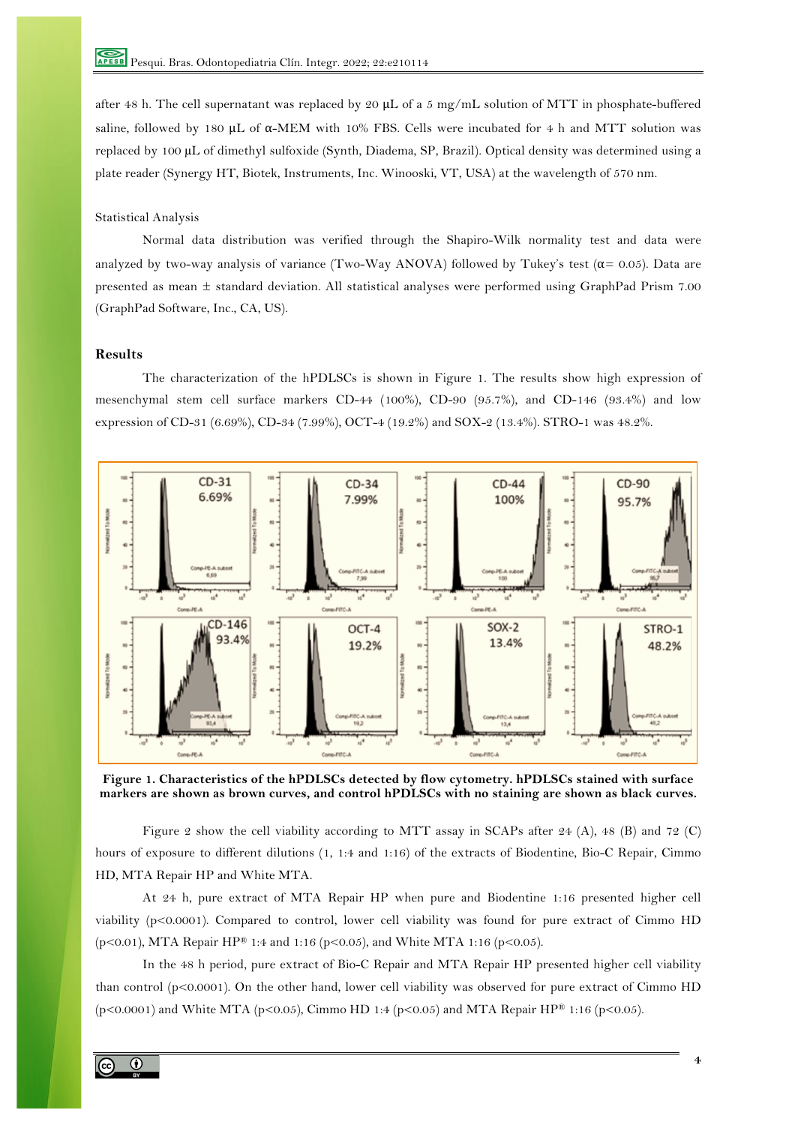after 48 h. The cell supernatant was replaced by 20  $\mu$ L of a 5 mg/mL solution of MTT in phosphate-buffered saline, followed by 180 μL of  $\alpha$ -MEM with 10% FBS. Cells were incubated for 4 h and MTT solution was replaced by 100 µL of dimethyl sulfoxide (Synth, Diadema, SP, Brazil). Optical density was determined using a plate reader (Synergy HT, Biotek, Instruments, Inc. Winooski, VT, USA) at the wavelength of 570 nm.

## Statistical Analysis

Normal data distribution was verified through the Shapiro-Wilk normality test and data were analyzed by two-way analysis of variance (Two-Way ANOVA) followed by Tukey's test ( $\alpha$  = 0.05). Data are presented as mean ± standard deviation. All statistical analyses were performed using GraphPad Prism 7.00 (GraphPad Software, Inc., CA, US).

# **Results**

The characterization of the hPDLSCs is shown in Figure 1. The results show high expression of mesenchymal stem cell surface markers CD-44 (100%), CD-90 (95.7%), and CD-146 (93.4%) and low expression of CD-31 (6.69%), CD-34 (7.99%), OCT-4 (19.2%) and SOX-2 (13.4%). STRO-1 was 48.2%.



**Figure 1. Characteristics of the hPDLSCs detected by flow cytometry. hPDLSCs stained with surface markers are shown as brown curves, and control hPDLSCs with no staining are shown as black curves.**

Figure 2 show the cell viability according to MTT assay in SCAPs after 24 (A), 48 (B) and 72 (C) hours of exposure to different dilutions (1, 1:4 and 1:16) of the extracts of Biodentine, Bio-C Repair, Cimmo HD, MTA Repair HP and White MTA.

At 24 h, pure extract of MTA Repair HP when pure and Biodentine 1:16 presented higher cell viability (p<0.0001). Compared to control, lower cell viability was found for pure extract of Cimmo HD (p<0.01), MTA Repair HP® 1:4 and 1:16 (p<0.05), and White MTA 1:16 (p<0.05).

In the 48 h period, pure extract of Bio-C Repair and MTA Repair HP presented higher cell viability than control (p<0.0001). On the other hand, lower cell viability was observed for pure extract of Cimmo HD (p<0.0001) and White MTA (p<0.05), Cimmo HD 1:4 (p<0.05) and MTA Repair HP® 1:16 (p<0.05).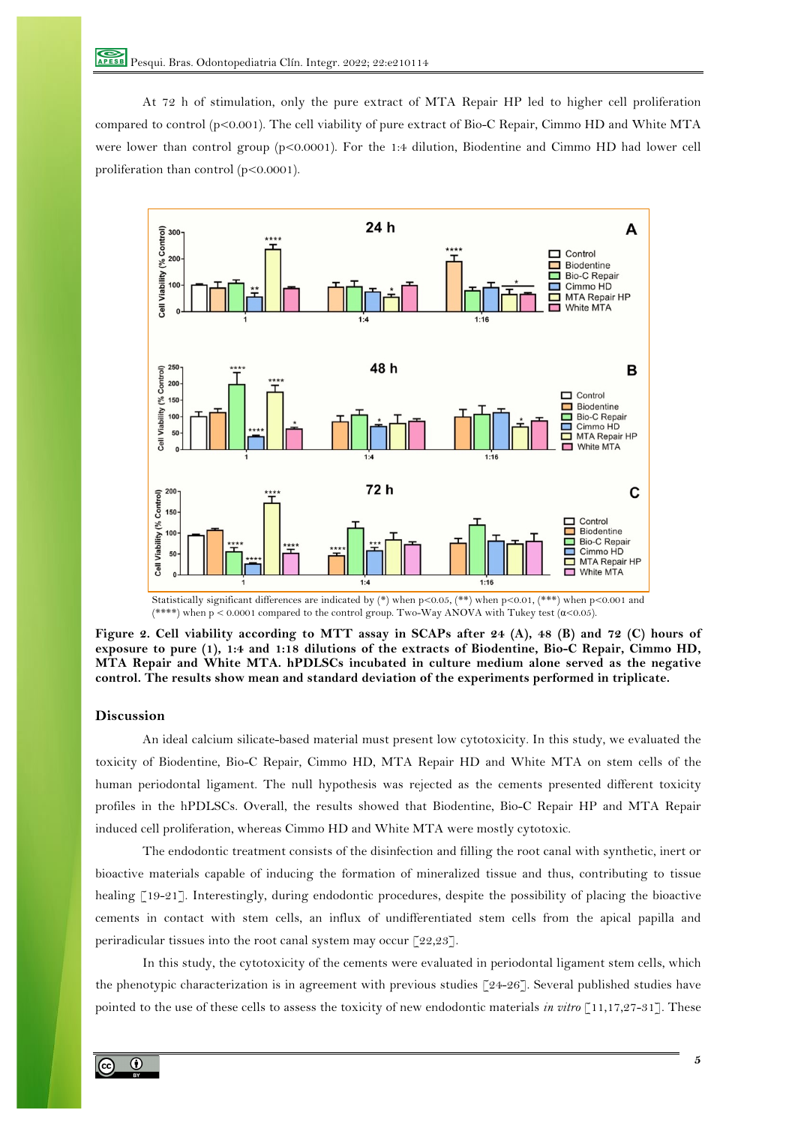At 72 h of stimulation, only the pure extract of MTA Repair HP led to higher cell proliferation compared to control (p<0.001). The cell viability of pure extract of Bio-C Repair, Cimmo HD and White MTA were lower than control group (p<0.0001). For the 1:4 dilution, Biodentine and Cimmo HD had lower cell proliferation than control (p<0.0001).



Statistically significant differences are indicated by  $(*)$  when  $p<0.05$ ,  $(***)$  when  $p<0.01$ ,  $(***)$  when  $p<0.001$  and (\*\*\*\*) when  $p < 0.0001$  compared to the control group. Two-Way ANOVA with Tukey test  $(a<0.05)$ .

**Figure 2. Cell viability according to MTT assay in SCAPs after 24 (A), 48 (B) and 72 (C) hours of exposure to pure (1), 1:4 and 1:18 dilutions of the extracts of Biodentine, Bio-C Repair, Cimmo HD, MTA Repair and White MTA. hPDLSCs incubated in culture medium alone served as the negative control. The results show mean and standard deviation of the experiments performed in triplicate.** 

## **Discussion**

An ideal calcium silicate-based material must present low cytotoxicity. In this study, we evaluated the toxicity of Biodentine, Bio-C Repair, Cimmo HD, MTA Repair HD and White MTA on stem cells of the human periodontal ligament. The null hypothesis was rejected as the cements presented different toxicity profiles in the hPDLSCs. Overall, the results showed that Biodentine, Bio-C Repair HP and MTA Repair induced cell proliferation, whereas Cimmo HD and White MTA were mostly cytotoxic.

The endodontic treatment consists of the disinfection and filling the root canal with synthetic, inert or bioactive materials capable of inducing the formation of mineralized tissue and thus, contributing to tissue healing [19-21]. Interestingly, during endodontic procedures, despite the possibility of placing the bioactive cements in contact with stem cells, an influx of undifferentiated stem cells from the apical papilla and periradicular tissues into the root canal system may occur [22,23].

In this study, the cytotoxicity of the cements were evaluated in periodontal ligament stem cells, which the phenotypic characterization is in agreement with previous studies [24-26]. Several published studies have pointed to the use of these cells to assess the toxicity of new endodontic materials *in vitro* [11,17,27-31]. These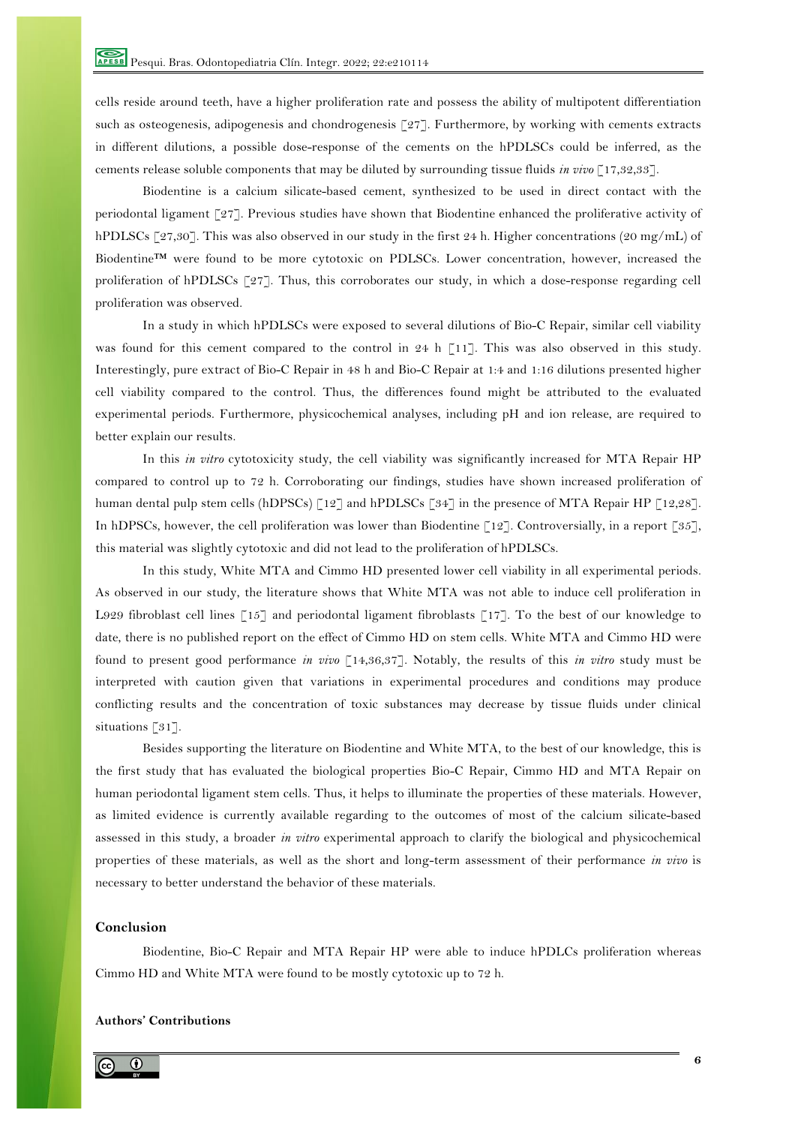cells reside around teeth, have a higher proliferation rate and possess the ability of multipotent differentiation such as osteogenesis, adipogenesis and chondrogenesis [27]. Furthermore, by working with cements extracts in different dilutions, a possible dose-response of the cements on the hPDLSCs could be inferred, as the cements release soluble components that may be diluted by surrounding tissue fluids *in vivo* [17,32,33].

Biodentine is a calcium silicate-based cement, synthesized to be used in direct contact with the periodontal ligament [27]. Previous studies have shown that Biodentine enhanced the proliferative activity of hPDLSCs [27,30]. This was also observed in our study in the first 24 h. Higher concentrations (20 mg/mL) of Biodentine™ were found to be more cytotoxic on PDLSCs. Lower concentration, however, increased the proliferation of hPDLSCs [27]. Thus, this corroborates our study, in which a dose-response regarding cell proliferation was observed.

In a study in which hPDLSCs were exposed to several dilutions of Bio-C Repair, similar cell viability was found for this cement compared to the control in 24 h [11]. This was also observed in this study. Interestingly, pure extract of Bio-C Repair in 48 h and Bio-C Repair at 1:4 and 1:16 dilutions presented higher cell viability compared to the control. Thus, the differences found might be attributed to the evaluated experimental periods. Furthermore, physicochemical analyses, including pH and ion release, are required to better explain our results.

In this *in vitro* cytotoxicity study, the cell viability was significantly increased for MTA Repair HP compared to control up to 72 h. Corroborating our findings, studies have shown increased proliferation of human dental pulp stem cells (hDPSCs) [12] and hPDLSCs [34] in the presence of MTA Repair HP [12,28]. In hDPSCs, however, the cell proliferation was lower than Biodentine [12]. Controversially, in a report [35], this material was slightly cytotoxic and did not lead to the proliferation of hPDLSCs.

In this study, White MTA and Cimmo HD presented lower cell viability in all experimental periods. As observed in our study, the literature shows that White MTA was not able to induce cell proliferation in L929 fibroblast cell lines [15] and periodontal ligament fibroblasts [17]. To the best of our knowledge to date, there is no published report on the effect of Cimmo HD on stem cells. White MTA and Cimmo HD were found to present good performance *in vivo* [14,36,37]. Notably, the results of this *in vitro* study must be interpreted with caution given that variations in experimental procedures and conditions may produce conflicting results and the concentration of toxic substances may decrease by tissue fluids under clinical situations [31].

Besides supporting the literature on Biodentine and White MTA, to the best of our knowledge, this is the first study that has evaluated the biological properties Bio-C Repair, Cimmo HD and MTA Repair on human periodontal ligament stem cells. Thus, it helps to illuminate the properties of these materials. However, as limited evidence is currently available regarding to the outcomes of most of the calcium silicate-based assessed in this study, a broader *in vitro* experimental approach to clarify the biological and physicochemical properties of these materials, as well as the short and long-term assessment of their performance *in vivo* is necessary to better understand the behavior of these materials.

# **Conclusion**

Biodentine, Bio-C Repair and MTA Repair HP were able to induce hPDLCs proliferation whereas Cimmo HD and White MTA were found to be mostly cytotoxic up to 72 h.

# **Authors' Contributions**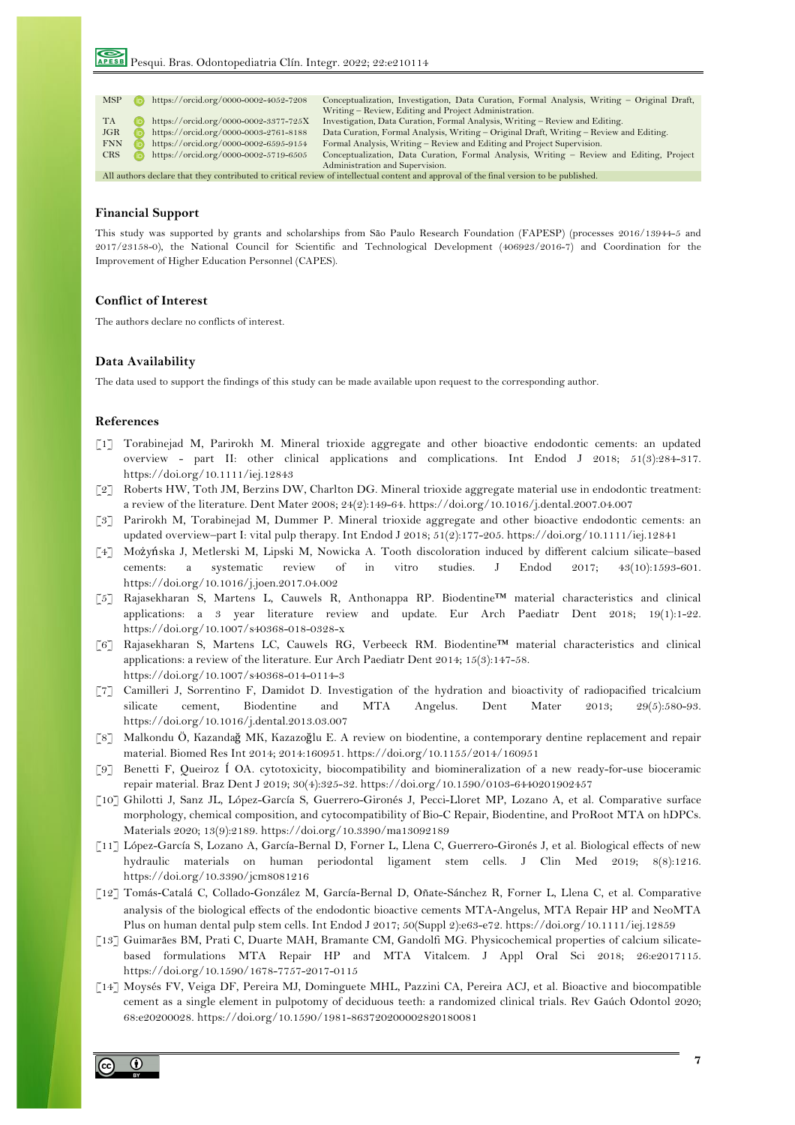| <b>MSP</b>                                                                                                                              |  | https://orcid.org/0000-0002-4052-7208 | Conceptualization, Investigation, Data Curation, Formal Analysis, Writing – Original Draft, |  |
|-----------------------------------------------------------------------------------------------------------------------------------------|--|---------------------------------------|---------------------------------------------------------------------------------------------|--|
|                                                                                                                                         |  |                                       | Writing – Review, Editing and Project Administration.                                       |  |
| <b>TA</b>                                                                                                                               |  | https://orcid.org/0000-0002-3377-725X | Investigation, Data Curation, Formal Analysis, Writing - Review and Editing.                |  |
| JGR                                                                                                                                     |  | https://orcid.org/0000-0003-2761-8188 | Data Curation, Formal Analysis, Writing – Original Draft, Writing – Review and Editing.     |  |
| <b>FNN</b>                                                                                                                              |  | https://orcid.org/0000-0002-6595-9154 | Formal Analysis, Writing – Review and Editing and Project Supervision.                      |  |
| <b>CRS</b>                                                                                                                              |  | https://orcid.org/0000-0002-5719-6505 | Conceptualization, Data Curation, Formal Analysis, Writing – Review and Editing, Project    |  |
| Administration and Supervision.                                                                                                         |  |                                       |                                                                                             |  |
| All authors declare that they contributed to critical review of intellectual content and approval of the final version to be published. |  |                                       |                                                                                             |  |

#### **Financial Support**

This study was supported by grants and scholarships from São Paulo Research Foundation (FAPESP) (processes 2016/13944-5 and 2017/23158-0), the National Council for Scientific and Technological Development (406923/2016-7) and Coordination for the Improvement of Higher Education Personnel (CAPES).

## **Conflict of Interest**

The authors declare no conflicts of interest.

## **Data Availability**

The data used to support the findings of this study can be made available upon request to the corresponding author.

#### **References**

- [1] Torabinejad M, Parirokh M. Mineral trioxide aggregate and other bioactive endodontic cements: an updated overview - part II: other clinical applications and complications. Int Endod J 2018; 51(3):284-317. https://doi.org/10.1111/iej.12843
- [2] Roberts HW, Toth JM, Berzins DW, Charlton DG. Mineral trioxide aggregate material use in endodontic treatment: a review of the literature. Dent Mater 2008; 24(2):149-64. https://doi.org/10.1016/j.dental.2007.04.007
- [3] Parirokh M, Torabinejad M, Dummer P. Mineral trioxide aggregate and other bioactive endodontic cements: an updated overview–part I: vital pulp therapy. Int Endod J 2018; 51(2):177-205. https://doi.org/10.1111/iej.12841
- [4] Możyńska J, Metlerski M, Lipski M, Nowicka A. Tooth discoloration induced by different calcium silicate–based cements: a systematic review of in vitro studies. J Endod 2017; 43(10):1593-601. https://doi.org/10.1016/j.joen.2017.04.002
- [5] Rajasekharan S, Martens L, Cauwels R, Anthonappa RP. Biodentine™ material characteristics and clinical applications: a 3 year literature review and update. Eur Arch Paediatr Dent 2018; 19(1):1-22. https://doi.org/10.1007/s40368-018-0328-x
- [6] Rajasekharan S, Martens LC, Cauwels RG, Verbeeck RM. Biodentine™ material characteristics and clinical applications: a review of the literature. Eur Arch Paediatr Dent 2014; 15(3):147-58. https://doi.org/10.1007/s40368-014-0114-3
- [7] Camilleri J, Sorrentino F, Damidot D. Investigation of the hydration and bioactivity of radiopacified tricalcium silicate cement, Biodentine and MTA Angelus. Dent Mater 2013; 29(5):580-93. https://doi.org/10.1016/j.dental.2013.03.007
- [8] Malkondu Ö, Kazandağ MK, Kazazoğlu E. A review on biodentine, a contemporary dentine replacement and repair material. Biomed Res Int 2014; 2014:160951. https://doi.org/10.1155/2014/160951
- [9] Benetti F, Queiroz Í OA. cytotoxicity, biocompatibility and biomineralization of a new ready-for-use bioceramic repair material. Braz Dent J 2019; 30(4):325-32. https://doi.org/10.1590/0103-6440201902457
- [10] Ghilotti J, Sanz JL, López-García S, Guerrero-Gironés J, Pecci-Lloret MP, Lozano A, et al. Comparative surface morphology, chemical composition, and cytocompatibility of Bio-C Repair, Biodentine, and ProRoot MTA on hDPCs. Materials 2020; 13(9):2189. https://doi.org/10.3390/ma13092189
- [11] López-García S, Lozano A, García-Bernal D, Forner L, Llena C, Guerrero-Gironés J, et al. Biological effects of new hydraulic materials on human periodontal ligament stem cells. J Clin Med 2019; 8(8):1216. https://doi.org/10.3390/jcm8081216
- [12] Tomás-Catalá C, Collado-González M, García-Bernal D, Oñate-Sánchez R, Forner L, Llena C, et al. Comparative analysis of the biological effects of the endodontic bioactive cements MTA-Angelus, MTA Repair HP and NeoMTA Plus on human dental pulp stem cells. Int Endod J 2017; 50(Suppl 2):e63-e72. https://doi.org/10.1111/iej.12859
- [13] Guimarães BM, Prati C, Duarte MAH, Bramante CM, Gandolfi MG. Physicochemical properties of calcium silicatebased formulations MTA Repair HP and MTA Vitalcem. J Appl Oral Sci 2018; 26:e2017115. https://doi.org/10.1590/1678-7757-2017-0115
- [14] Moysés FV, Veiga DF, Pereira MJ, Dominguete MHL, Pazzini CA, Pereira ACJ, et al. Bioactive and biocompatible cement as a single element in pulpotomy of deciduous teeth: a randomized clinical trials. Rev Gaúch Odontol 2020; 68:e20200028. https://doi.org/10.1590/1981-863720200002820180081